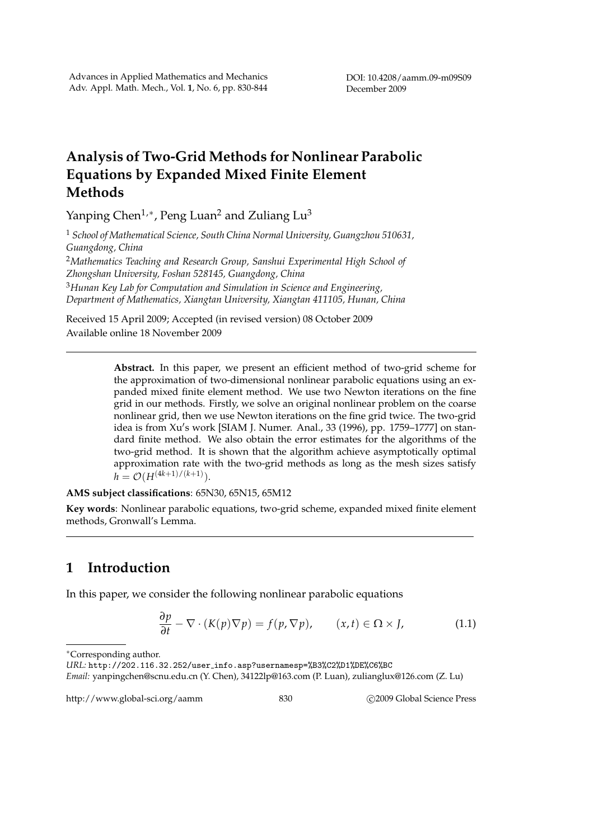## **Analysis of Two-Grid Methods for Nonlinear Parabolic Equations by Expanded Mixed Finite Element Methods**

Yanping Chen<sup>1,∗</sup>, Peng Luan<sup>2</sup> and Zuliang Lu<sup>3</sup>

<sup>1</sup> *School of Mathematical Science, South China Normal University, Guangzhou 510631, Guangdong, China*

<sup>2</sup>*Mathematics Teaching and Research Group, Sanshui Experimental High School of Zhongshan University, Foshan 528145, Guangdong, China*

<sup>3</sup>*Hunan Key Lab for Computation and Simulation in Science and Engineering, Department of Mathematics, Xiangtan University, Xiangtan 411105, Hunan, China*

Received 15 April 2009; Accepted (in revised version) 08 October 2009 Available online 18 November 2009

> **Abstract.** In this paper, we present an efficient method of two-grid scheme for the approximation of two-dimensional nonlinear parabolic equations using an expanded mixed finite element method. We use two Newton iterations on the fine grid in our methods. Firstly, we solve an original nonlinear problem on the coarse nonlinear grid, then we use Newton iterations on the fine grid twice. The two-grid idea is from Xu's work [SIAM J. Numer. Anal., 33 (1996), pp. 1759–1777] on standard finite method. We also obtain the error estimates for the algorithms of the two-grid method. It is shown that the algorithm achieve asymptotically optimal approximation rate with the two-grid methods as long as the mesh sizes satisfy  $h = \mathcal{O}(H^{(4k+1)/(k+1)}).$

**AMS subject classifications**: 65N30, 65N15, 65M12

**Key words**: Nonlinear parabolic equations, two-grid scheme, expanded mixed finite element methods, Gronwall's Lemma.

## **1 Introduction**

In this paper, we consider the following nonlinear parabolic equations

$$
\frac{\partial p}{\partial t} - \nabla \cdot (K(p)\nabla p) = f(p, \nabla p), \qquad (x, t) \in \Omega \times J,
$$
 (1.1)

http://www.global-sci.org/aamm 830 62009 Global Science Press

<sup>∗</sup>Corresponding author.

*URL:* http://202.116.32.252/user info.asp?usernamesp=%B3%C2%D1%DE%C6%BC

*Email:* yanpingchen@scnu.edu.cn (Y. Chen), 34122lp@163.com (P. Luan), zulianglux@126.com (Z. Lu)